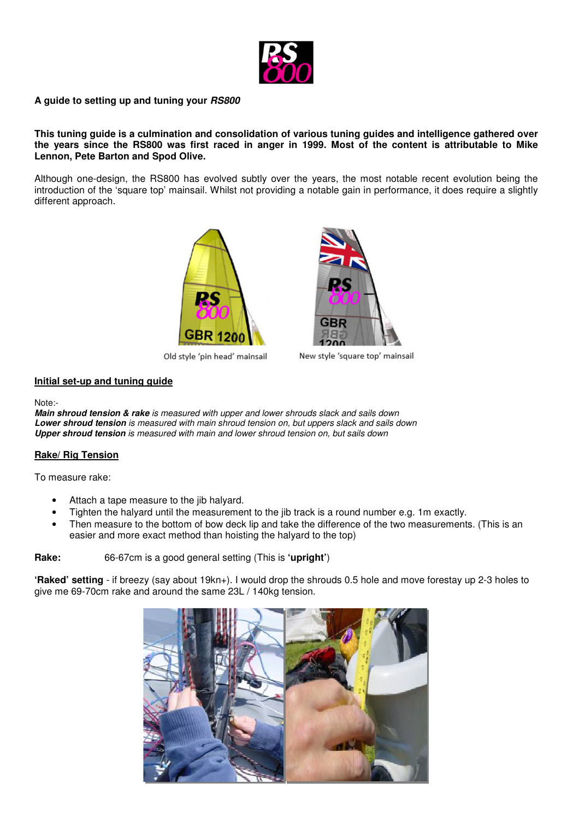

#### **A guide to setting up and tuning your RS800**

**This tuning guide is a culmination and consolidation of various tuning guides and intelligence gathered over the years since the RS800 was first raced in anger in 1999. Most of the content is attributable to Mike Lennon, Pete Barton and Spod Olive.** 

Although one-design, the RS800 has evolved subtly over the years, the most notable recent evolution being the introduction of the 'square top' mainsail. Whilst not providing a notable gain in performance, it does require a slightly different approach.



Old style 'pin head' mainsail



New style 'square top' mainsail

#### **Initial set-up and tuning guide**

Note:-

**Main shroud tension & rake** *is measured with upper and lower shrouds slack and sails down*  **Lower shroud tension** *is measured with main shroud tension on, but uppers slack and sails down*  **Upper shroud tension** *is measured with main and lower shroud tension on, but sails down* 

## **Rake/ Rig Tension**

To measure rake:

- Attach a tape measure to the jib halyard.
- Tighten the halyard until the measurement to the jib track is a round number e.g. 1m exactly.
- Then measure to the bottom of bow deck lip and take the difference of the two measurements. (This is an easier and more exact method than hoisting the halyard to the top)

**Rake:** 66-67cm is a good general setting (This is **'upright'**)

**'Raked' setting** - if breezy (say about 19kn+). I would drop the shrouds 0.5 hole and move forestay up 2-3 holes to give me 69-70cm rake and around the same 23L / 140kg tension.

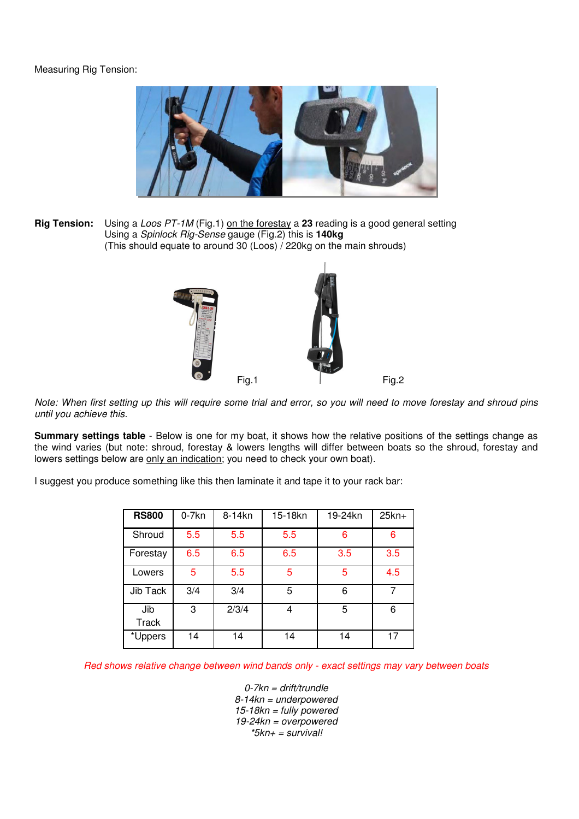# Measuring Rig Tension:



**Rig Tension:** Using a *Loos PT-1M* (Fig.1) on the forestay a 23 reading is a good general setting Using a *Spinlock Rig-Sense* gauge (Fig.2) this is **140kg** (This should equate to around 30 (Loos) / 220kg on the main shrouds)



*Note: When first setting up this will require some trial and error, so you will need to move forestay and shroud pins until you achieve this.* 

**Summary settings table** - Below is one for my boat, it shows how the relative positions of the settings change as the wind varies (but note: shroud, forestay & lowers lengths will differ between boats so the shroud, forestay and lowers settings below are only an indication; you need to check your own boat).

I suggest you produce something like this then laminate it and tape it to your rack bar:

| <b>RS800</b>        | $0-7kn$ | 8-14kn | 15-18kn | 19-24kn | $25kn+$ |
|---------------------|---------|--------|---------|---------|---------|
| Shroud              | 5.5     | 5.5    | 5.5     | 6       | 6       |
| Forestay            | 6.5     | 6.5    | 6.5     | 3.5     | 3.5     |
| Lowers              | 5       | 5.5    | 5       | 5       | 4.5     |
| Jib Tack            | 3/4     | 3/4    | 5       | 6       | 7       |
| Jib<br><b>Track</b> | 3       | 2/3/4  | 4       | 5       | 6       |
| *Uppers             | 14      | 14     | 14      | 14      | 17      |

*Red shows relative change between wind bands only - exact settings may vary between boats* 

*0-7kn = drift/trundle 8-14kn = underpowered 15-18kn = fully powered 19-24kn = overpowered \*5kn+ = survival!*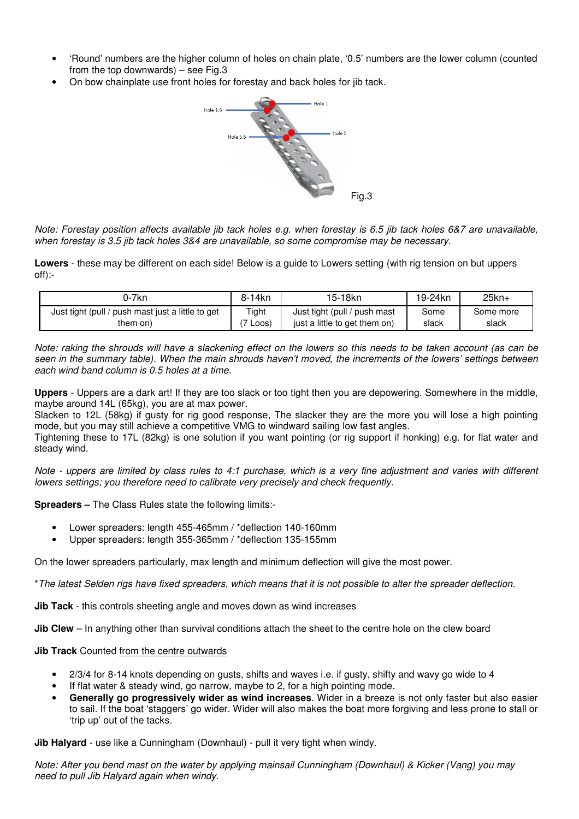- 'Round' numbers are the higher column of holes on chain plate, '0.5' numbers are the lower column (counted from the top downwards) – see Fig.3
- On bow chainplate use front holes for forestay and back holes for jib tack.



*Note: Forestay position affects available jib tack holes e.g. when forestay is 6.5 jib tack holes 6&7 are unavailable, when forestay is 3.5 jib tack holes 3&4 are unavailable, so some compromise may be necessary.* 

**Lowers** - these may be different on each side! Below is a guide to Lowers setting (with rig tension on but uppers off):-

| 0-7kn                                             | 8-14kn          | 15-18kn                       | 19-24kn | $25kn+$   |
|---------------------------------------------------|-----------------|-------------------------------|---------|-----------|
| Just tight (pull / push mast just a little to get | Tight           | Just tight (pull / push mast  | Some    | Some more |
| them on)                                          | $\mathsf{LOOS}$ | just a little to get them on) | slack   | slack     |

*Note: raking the shrouds will have a slackening effect on the lowers so this needs to be taken account (as can be seen in the summary table). When the main shrouds haven't moved, the increments of the lowers' settings between each wind band column is 0.5 holes at a time.* 

**Uppers** - Uppers are a dark art! If they are too slack or too tight then you are depowering. Somewhere in the middle, maybe around 14L (65kg), you are at max power.

Slacken to 12L (58kg) if gusty for rig good response, The slacker they are the more you will lose a high pointing mode, but you may still achieve a competitive VMG to windward sailing low fast angles.

Tightening these to 17L (82kg) is one solution if you want pointing (or rig support if honking) e.g. for flat water and steady wind.

*Note - uppers are limited by class rules to 4:1 purchase, which is a very fine adjustment and varies with different lowers settings; you therefore need to calibrate very precisely and check frequently.* 

**Spreaders –** The Class Rules state the following limits:-

- Lower spreaders: length 455-465mm / \*deflection 140-160mm
- Upper spreaders: length 355-365mm / \*deflection 135-155mm

On the lower spreaders particularly, max length and minimum deflection will give the most power.

\**The latest Selden rigs have fixed spreaders, which means that it is not possible to alter the spreader deflection.*

**Jib Tack** - this controls sheeting angle and moves down as wind increases

**Jib Clew** – In anything other than survival conditions attach the sheet to the centre hole on the clew board

#### **Jib Track** Counted from the centre outwards

- 2/3/4 for 8-14 knots depending on gusts, shifts and waves i.e. if gusty, shifty and wavy go wide to 4
- If flat water & steady wind, go narrow, maybe to 2, for a high pointing mode.
- **Generally go progressively wider as wind increases**. Wider in a breeze is not only faster but also easier to sail. If the boat 'staggers' go wider. Wider will also makes the boat more forgiving and less prone to stall or 'trip up' out of the tacks.

**Jib Halyard** - use like a Cunningham (Downhaul) - pull it very tight when windy.

*Note: After you bend mast on the water by applying mainsail Cunningham (Downhaul) & Kicker (Vang) you may need to pull Jib Halyard again when windy.*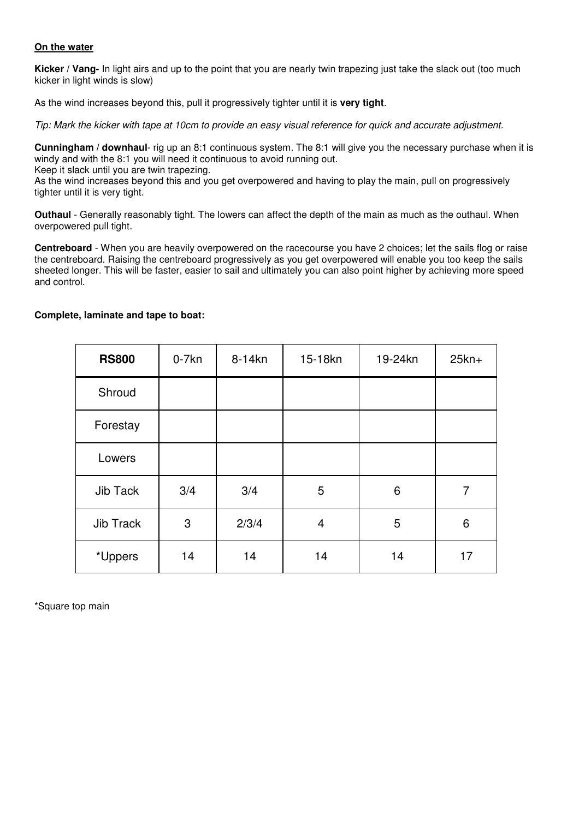## **On the water**

**Kicker / Vang-** In light airs and up to the point that you are nearly twin trapezing just take the slack out (too much kicker in light winds is slow)

As the wind increases beyond this, pull it progressively tighter until it is **very tight**.

*Tip: Mark the kicker with tape at 10cm to provide an easy visual reference for quick and accurate adjustment.* 

**Cunningham / downhaul**- rig up an 8:1 continuous system. The 8:1 will give you the necessary purchase when it is windy and with the 8:1 you will need it continuous to avoid running out.

Keep it slack until you are twin trapezing.

As the wind increases beyond this and you get overpowered and having to play the main, pull on progressively tighter until it is very tight.

**Outhaul** - Generally reasonably tight. The lowers can affect the depth of the main as much as the outhaul. When overpowered pull tight.

**Centreboard** - When you are heavily overpowered on the racecourse you have 2 choices; let the sails flog or raise the centreboard. Raising the centreboard progressively as you get overpowered will enable you too keep the sails sheeted longer. This will be faster, easier to sail and ultimately you can also point higher by achieving more speed and control.

| <b>RS800</b> | $0-7kn$ | 8-14kn | 15-18kn | 19-24kn | $25kn+$ |
|--------------|---------|--------|---------|---------|---------|
| Shroud       |         |        |         |         |         |
| Forestay     |         |        |         |         |         |
| Lowers       |         |        |         |         |         |
| Jib Tack     | 3/4     | 3/4    | 5       | 6       | 7       |
| Jib Track    | 3       | 2/3/4  | 4       | 5       | 6       |
| *Uppers      | 14      | 14     | 14      | 14      | 17      |

## **Complete, laminate and tape to boat:**

\*Square top main